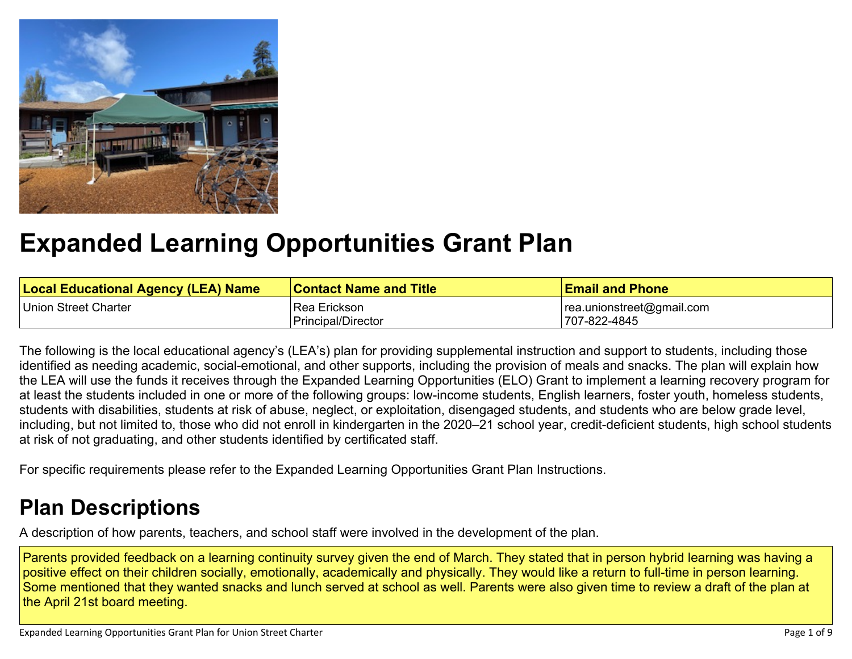

# **[Expanded Learning Opportunities Grant Plan](#page-5-0)**

| <b>Local Educational Agency (LEA) Name</b> | <b>Contact Name and Title</b> | <b>Email and Phone</b>    |
|--------------------------------------------|-------------------------------|---------------------------|
| Union Street Charter                       | Rea Erickson                  | rea.unionstreet@gmail.com |
|                                            | Principal/Director            | !707-822-4845             |

The following is the local educational agency's (LEA's) plan for providing supplemental instruction and support to students, including those identified as needing academic, social-emotional, and other supports, including the provision of meals and snacks. The plan will explain how the LEA will use the funds it receives through the Expanded Learning Opportunities (ELO) Grant to implement a learning recovery program for at least the students included in one or more of the following groups: low-income students, English learners, foster youth, homeless students, students with disabilities, students at risk of abuse, neglect, or exploitation, disengaged students, and students who are below grade level, including, but not limited to, those who did not enroll in kindergarten in the 2020–21 school year, credit-deficient students, high school students at risk of not graduating, and other students identified by certificated staff.

For specific requirements please refer to the Expanded Learning Opportunities Grant Plan Instructions.

# **[Plan Descriptions](#page-7-0)**

[A description of how parents, teachers, and school staff were involved in the development of the plan.](#page-7-1)

Parents provided feedback on a learning continuity survey given the end of March. They stated that in person hybrid learning was having a positive effect on their children socially, emotionally, academically and physically. They would like a return to full-time in person learning. Some mentioned that they wanted snacks and lunch served at school as well. Parents were also given time to review a draft of the plan at the April 21st board meeting.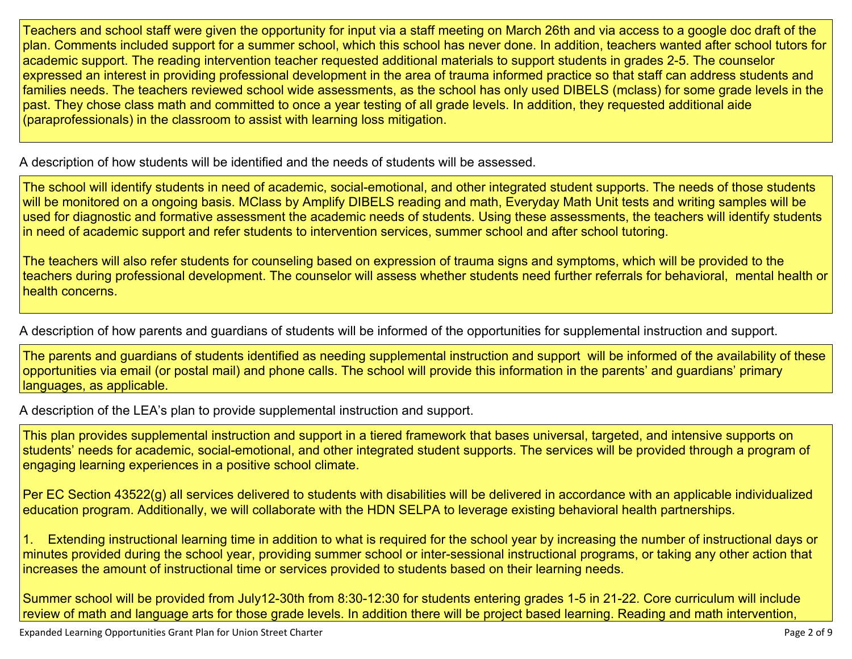Teachers and school staff were given the opportunity for input via a staff meeting on March 26th and via access to a google doc draft of the plan. Comments included support for a summer school, which this school has never done. In addition, teachers wanted after school tutors for academic support. The reading intervention teacher requested additional materials to support students in grades 2-5. The counselor expressed an interest in providing professional development in the area of trauma informed practice so that staff can address students and families needs. The teachers reviewed school wide assessments, as the school has only used DIBELS (mclass) for some grade levels in the past. They chose class math and committed to once a year testing of all grade levels. In addition, they requested additional aide (paraprofessionals) in the classroom to assist with learning loss mitigation.

[A description of how students will be identified and the needs of students will be assessed.](#page-7-2)

The school will identify students in need of academic, social-emotional, and other integrated student supports. The needs of those students will be monitored on a ongoing basis. MClass by Amplify DIBELS reading and math, Everyday Math Unit tests and writing samples will be used for diagnostic and formative assessment the academic needs of students. Using these assessments, the teachers will identify students in need of academic support and refer students to intervention services, summer school and after school tutoring.

The teachers will also refer students for counseling based on expression of trauma signs and symptoms, which will be provided to the teachers during professional development. The counselor will assess whether students need further referrals for behavioral, mental health or health concerns.

[A description of how parents and guardians of students will be informed of the opportunities for supplemental instruction and support.](#page-7-3)

The parents and guardians of students identified as needing supplemental instruction and support will be informed of the availability of these opportunities via email (or postal mail) and phone calls. The school will provide this information in the parents' and guardians' primary languages, as applicable.

[A description of the LEA's plan to provide supplemental instruction and support.](#page-7-4)

This plan provides supplemental instruction and support in a tiered framework that bases universal, targeted, and intensive supports on students' needs for academic, social-emotional, and other integrated student supports. The services will be provided through a program of engaging learning experiences in a positive school climate.

Per EC Section 43522(g) all services delivered to students with disabilities will be delivered in accordance with an applicable individualized education program. Additionally, we will collaborate with the HDN SELPA to leverage existing behavioral health partnerships.

1. Extending instructional learning time in addition to what is required for the school year by increasing the number of instructional days or minutes provided during the school year, providing summer school or inter-sessional instructional programs, or taking any other action that increases the amount of instructional time or services provided to students based on their learning needs.

Summer school will be provided from July12-30th from 8:30-12:30 for students entering grades 1-5 in 21-22. Core curriculum will include review of math and language arts for those grade levels. In addition there will be project based learning. Reading and math intervention,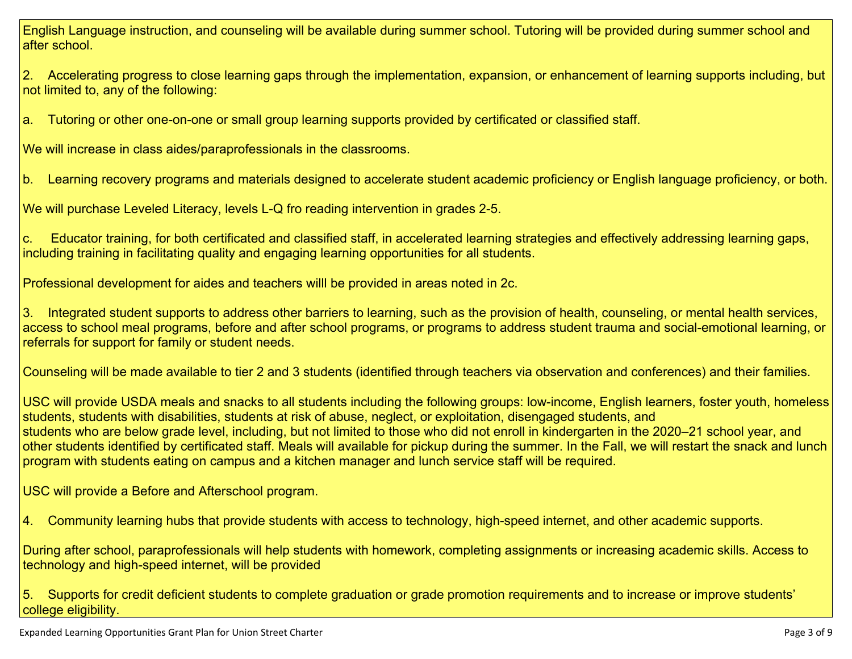English Language instruction, and counseling will be available during summer school. Tutoring will be provided during summer school and after school.

2. Accelerating progress to close learning gaps through the implementation, expansion, or enhancement of learning supports including, but not limited to, any of the following:

a. Tutoring or other one-on-one or small group learning supports provided by certificated or classified staff.

We will increase in class aides/paraprofessionals in the classrooms.

b. Learning recovery programs and materials designed to accelerate student academic proficiency or English language proficiency, or both.

We will purchase Leveled Literacy, levels L-Q fro reading intervention in grades 2-5.

c. Educator training, for both certificated and classified staff, in accelerated learning strategies and effectively addressing learning gaps, including training in facilitating quality and engaging learning opportunities for all students.

Professional development for aides and teachers willl be provided in areas noted in 2c.

3. Integrated student supports to address other barriers to learning, such as the provision of health, counseling, or mental health services, access to school meal programs, before and after school programs, or programs to address student trauma and social-emotional learning, or referrals for support for family or student needs.

Counseling will be made available to tier 2 and 3 students (identified through teachers via observation and conferences) and their families.

USC will provide USDA meals and snacks to all students including the following groups: low-income, English learners, foster youth, homeless students, students with disabilities, students at risk of abuse, neglect, or exploitation, disengaged students, and students who are below grade level, including, but not limited to those who did not enroll in kindergarten in the 2020–21 school year, and other students identified by certificated staff. Meals will available for pickup during the summer. In the Fall, we will restart the snack and lunch program with students eating on campus and a kitchen manager and lunch service staff will be required.

USC will provide a Before and Afterschool program.

4. Community learning hubs that provide students with access to technology, high-speed internet, and other academic supports.

During after school, paraprofessionals will help students with homework, completing assignments or increasing academic skills. Access to technology and high-speed internet, will be provided

5. Supports for credit deficient students to complete graduation or grade promotion requirements and to increase or improve students' college eligibility.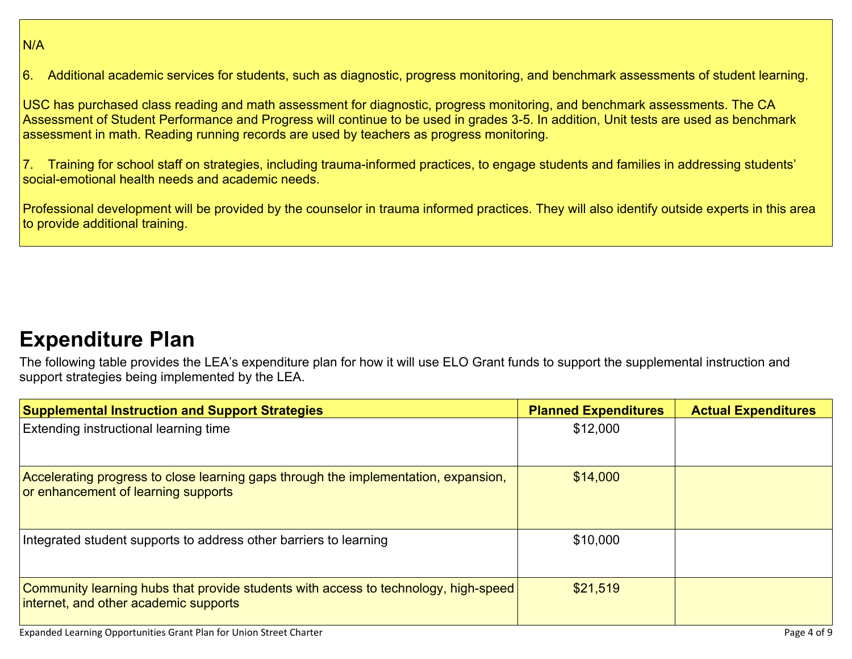### N/A

6. Additional academic services for students, such as diagnostic, progress monitoring, and benchmark assessments of student learning.

USC has purchased class reading and math assessment for diagnostic, progress monitoring, and benchmark assessments. The CA Assessment of Student Performance and Progress will continue to be used in grades 3-5. In addition, Unit tests are used as benchmark assessment in math. Reading running records are used by teachers as progress monitoring.

7. Training for school staff on strategies, including trauma-informed practices, to engage students and families in addressing students' social-emotional health needs and academic needs.

Professional development will be provided by the counselor in trauma informed practices. They will also identify outside experts in this area to provide additional training.

## **[Expenditure Plan](#page-8-0)**

The following table provides the LEA's expenditure plan for how it will use ELO Grant funds to support the supplemental instruction and support strategies being implemented by the LEA.

| <b>Supplemental Instruction and Support Strategies</b>                                                                       | <b>Planned Expenditures</b> | <b>Actual Expenditures</b> |
|------------------------------------------------------------------------------------------------------------------------------|-----------------------------|----------------------------|
| <b>Extending instructional learning time</b>                                                                                 | \$12,000                    |                            |
| Accelerating progress to close learning gaps through the implementation, expansion,<br>or enhancement of learning supports   | \$14,000                    |                            |
| Integrated student supports to address other barriers to learning                                                            | \$10,000                    |                            |
| Community learning hubs that provide students with access to technology, high-speed<br>internet, and other academic supports | \$21,519                    |                            |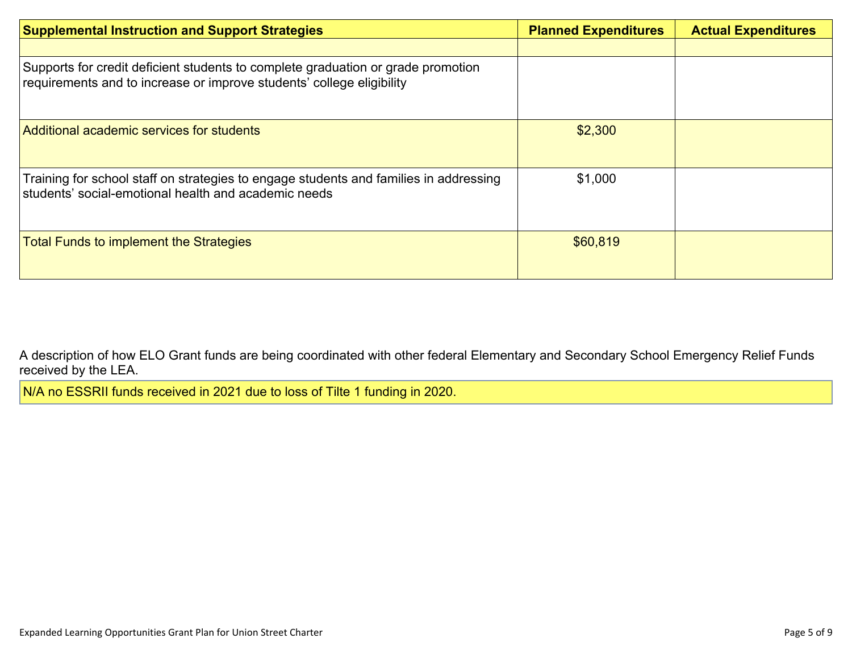| <b>Supplemental Instruction and Support Strategies</b>                                                                                                    | <b>Planned Expenditures</b> | <b>Actual Expenditures</b> |
|-----------------------------------------------------------------------------------------------------------------------------------------------------------|-----------------------------|----------------------------|
|                                                                                                                                                           |                             |                            |
| Supports for credit deficient students to complete graduation or grade promotion<br>requirements and to increase or improve students' college eligibility |                             |                            |
| Additional academic services for students                                                                                                                 | \$2,300                     |                            |
| Training for school staff on strategies to engage students and families in addressing<br>students' social-emotional health and academic needs             | \$1,000                     |                            |
| <b>Total Funds to implement the Strategies</b>                                                                                                            | \$60,819                    |                            |

[A description of how ELO Grant funds are being coordinated with other federal Elementary and Secondary School Emergency Relief Funds](#page-8-1)  [received by the LEA.](#page-8-1)

N/A no ESSRII funds received in 2021 due to loss of Tilte 1 funding in 2020.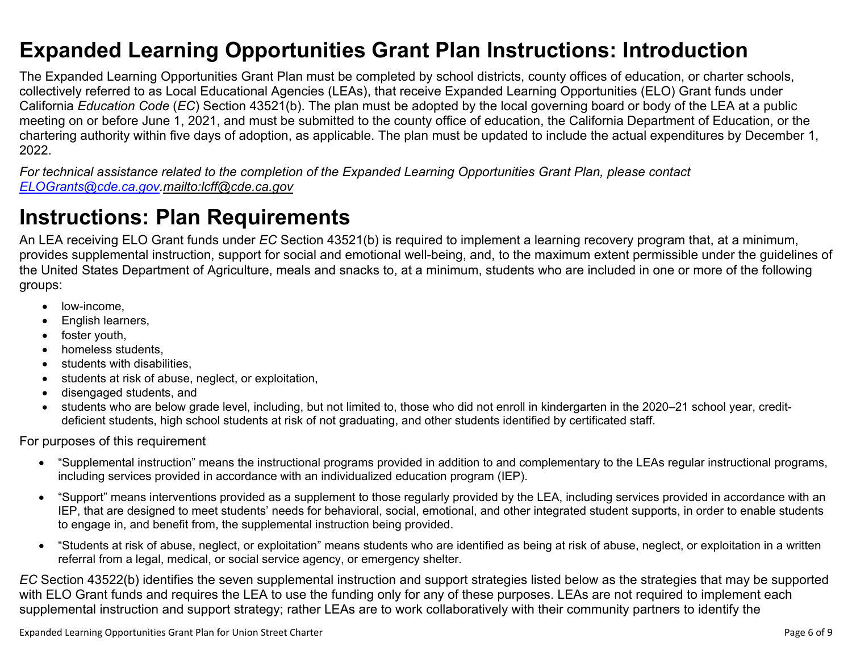### <span id="page-5-0"></span>**Expanded Learning Opportunities Grant Plan Instructions: Introduction**

The Expanded Learning Opportunities Grant Plan must be completed by school districts, county offices of education, or charter schools, collectively referred to as Local Educational Agencies (LEAs), that receive Expanded Learning Opportunities (ELO) Grant funds under California *Education Code* (*EC*) Section 43521(b). The plan must be adopted by the local governing board or body of the LEA at a public meeting on or before June 1, 2021, and must be submitted to the county office of education, the California Department of Education, or the chartering authority within five days of adoption, as applicable. The plan must be updated to include the actual expenditures by December 1, 2022.

*For technical assistance related to the completion of the Expanded Learning Opportunities Grant Plan, please contact [ELOGrants@cde.ca.gov](mailto:ELOGrants@cde.ca.gov).<mailto:lcff@cde.ca.gov>*

# **Instructions: Plan Requirements**

An LEA receiving ELO Grant funds under *EC* Section 43521(b) is required to implement a learning recovery program that, at a minimum, provides supplemental instruction, support for social and emotional well-being, and, to the maximum extent permissible under the guidelines of the United States Department of Agriculture, meals and snacks to, at a minimum, students who are included in one or more of the following groups:

- low-income.
- English learners,
- foster youth,
- homeless students.
- students with disabilities.
- students at risk of abuse, neglect, or exploitation,
- disengaged students, and
- students who are below grade level, including, but not limited to, those who did not enroll in kindergarten in the 2020–21 school year, creditdeficient students, high school students at risk of not graduating, and other students identified by certificated staff.

For purposes of this requirement

- "Supplemental instruction" means the instructional programs provided in addition to and complementary to the LEAs regular instructional programs, including services provided in accordance with an individualized education program (IEP).
- "Support" means interventions provided as a supplement to those regularly provided by the LEA, including services provided in accordance with an IEP, that are designed to meet students' needs for behavioral, social, emotional, and other integrated student supports, in order to enable students to engage in, and benefit from, the supplemental instruction being provided.
- "Students at risk of abuse, neglect, or exploitation" means students who are identified as being at risk of abuse, neglect, or exploitation in a written referral from a legal, medical, or social service agency, or emergency shelter.

*EC* Section 43522(b) identifies the seven supplemental instruction and support strategies listed below as the strategies that may be supported with ELO Grant funds and requires the LEA to use the funding only for any of these purposes. LEAs are not required to implement each supplemental instruction and support strategy; rather LEAs are to work collaboratively with their community partners to identify the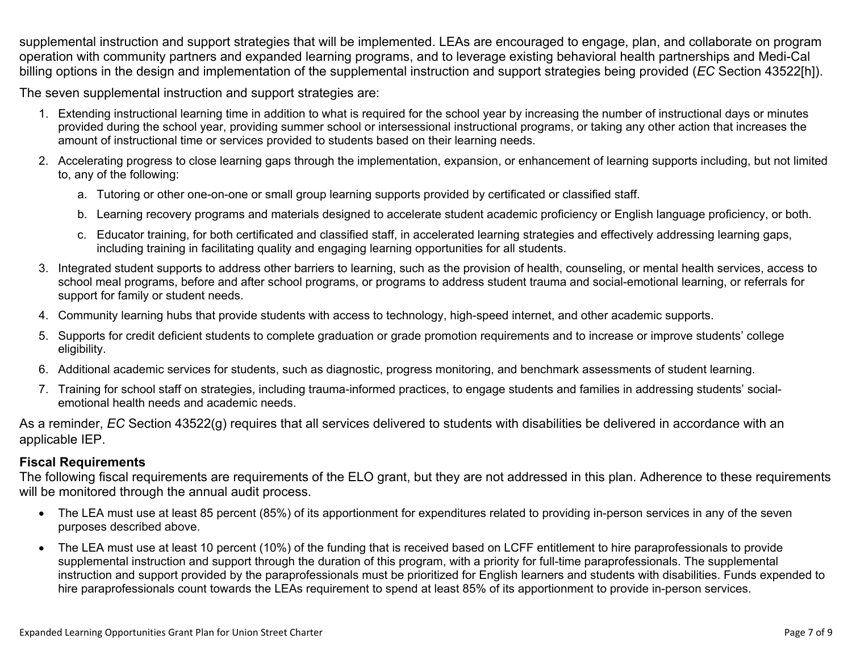supplemental instruction and support strategies that will be implemented. LEAs are encouraged to engage, plan, and collaborate on program operation with community partners and expanded learning programs, and to leverage existing behavioral health partnerships and Medi-Cal billing options in the design and implementation of the supplemental instruction and support strategies being provided (*EC* Section 43522[h]).

The seven supplemental instruction and support strategies are:

- 1. Extending instructional learning time in addition to what is required for the school year by increasing the number of instructional days or minutes provided during the school year, providing summer school or intersessional instructional programs, or taking any other action that increases the amount of instructional time or services provided to students based on their learning needs.
- 2. Accelerating progress to close learning gaps through the implementation, expansion, or enhancement of learning supports including, but not limited to, any of the following:
	- a. Tutoring or other one-on-one or small group learning supports provided by certificated or classified staff.
	- b. Learning recovery programs and materials designed to accelerate student academic proficiency or English language proficiency, or both.
	- c. Educator training, for both certificated and classified staff, in accelerated learning strategies and effectively addressing learning gaps, including training in facilitating quality and engaging learning opportunities for all students.
- 3. Integrated student supports to address other barriers to learning, such as the provision of health, counseling, or mental health services, access to school meal programs, before and after school programs, or programs to address student trauma and social-emotional learning, or referrals for support for family or student needs.
- 4. Community learning hubs that provide students with access to technology, high-speed internet, and other academic supports.
- 5. Supports for credit deficient students to complete graduation or grade promotion requirements and to increase or improve students' college eligibility.
- 6. Additional academic services for students, such as diagnostic, progress monitoring, and benchmark assessments of student learning.
- 7. Training for school staff on strategies, including trauma-informed practices, to engage students and families in addressing students' socialemotional health needs and academic needs.

As a reminder, *EC* Section 43522(g) requires that all services delivered to students with disabilities be delivered in accordance with an applicable IEP.

### **Fiscal Requirements**

The following fiscal requirements are requirements of the ELO grant, but they are not addressed in this plan. Adherence to these requirements will be monitored through the annual audit process.

- The LEA must use at least 85 percent (85%) of its apportionment for expenditures related to providing in-person services in any of the seven purposes described above.
- The LEA must use at least 10 percent (10%) of the funding that is received based on LCFF entitlement to hire paraprofessionals to provide supplemental instruction and support through the duration of this program, with a priority for full-time paraprofessionals. The supplemental instruction and support provided by the paraprofessionals must be prioritized for English learners and students with disabilities. Funds expended to hire paraprofessionals count towards the LEAs requirement to spend at least 85% of its apportionment to provide in-person services.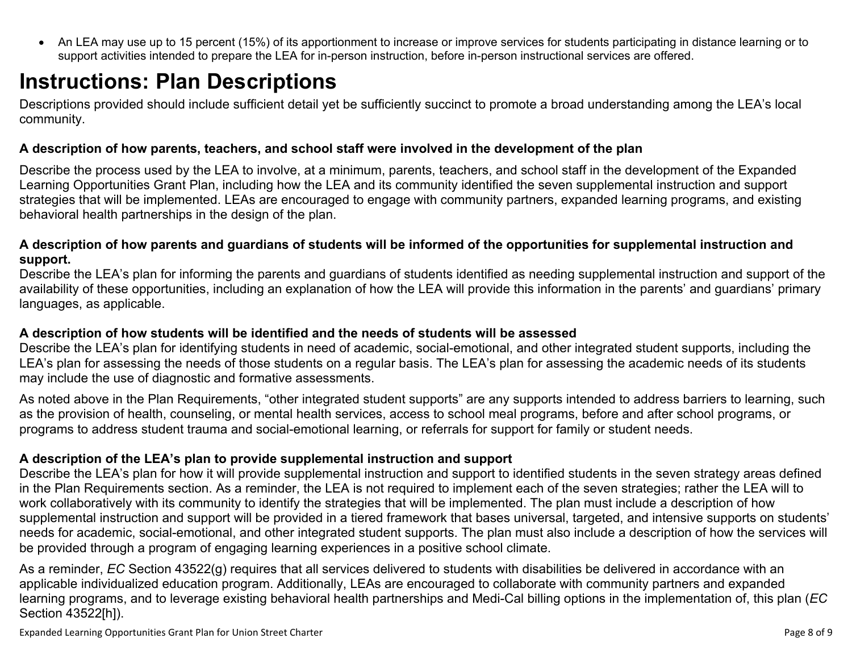<span id="page-7-0"></span>• An LEA may use up to 15 percent (15%) of its apportionment to increase or improve services for students participating in distance learning or to support activities intended to prepare the LEA for in-person instruction, before in-person instructional services are offered.

# **Instructions: Plan Descriptions**

Descriptions provided should include sufficient detail yet be sufficiently succinct to promote a broad understanding among the LEA's local community.

### <span id="page-7-1"></span>**A description of how parents, teachers, and school staff were involved in the development of the plan**

Describe the process used by the LEA to involve, at a minimum, parents, teachers, and school staff in the development of the Expanded Learning Opportunities Grant Plan, including how the LEA and its community identified the seven supplemental instruction and support strategies that will be implemented. LEAs are encouraged to engage with community partners, expanded learning programs, and existing behavioral health partnerships in the design of the plan.

#### <span id="page-7-2"></span>**A description of how parents and guardians of students will be informed of the opportunities for supplemental instruction and support.**

Describe the LEA's plan for informing the parents and guardians of students identified as needing supplemental instruction and support of the availability of these opportunities, including an explanation of how the LEA will provide this information in the parents' and guardians' primary languages, as applicable.

### <span id="page-7-3"></span>**A description of how students will be identified and the needs of students will be assessed**

Describe the LEA's plan for identifying students in need of academic, social-emotional, and other integrated student supports, including the LEA's plan for assessing the needs of those students on a regular basis. The LEA's plan for assessing the academic needs of its students may include the use of diagnostic and formative assessments.

As noted above in the Plan Requirements, "other integrated student supports" are any supports intended to address barriers to learning, such as the provision of health, counseling, or mental health services, access to school meal programs, before and after school programs, or programs to address student trauma and social-emotional learning, or referrals for support for family or student needs.

### <span id="page-7-4"></span>**A description of the LEA's plan to provide supplemental instruction and support**

Describe the LEA's plan for how it will provide supplemental instruction and support to identified students in the seven strategy areas defined in the Plan Requirements section. As a reminder, the LEA is not required to implement each of the seven strategies; rather the LEA will to work collaboratively with its community to identify the strategies that will be implemented. The plan must include a description of how supplemental instruction and support will be provided in a tiered framework that bases universal, targeted, and intensive supports on students' needs for academic, social-emotional, and other integrated student supports. The plan must also include a description of how the services will be provided through a program of engaging learning experiences in a positive school climate.

As a reminder, *EC* Section 43522(g) requires that all services delivered to students with disabilities be delivered in accordance with an applicable individualized education program. Additionally, LEAs are encouraged to collaborate with community partners and expanded learning programs, and to leverage existing behavioral health partnerships and Medi-Cal billing options in the implementation of, this plan (*EC*  Section 43522[h]).